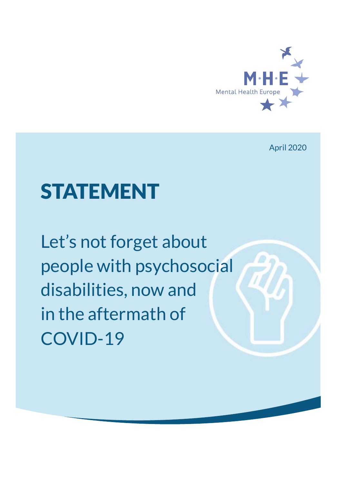

April 2020

# STATEMENT

Let's not forget about people with psychosocial disabilities, now and in the aftermath of COVID-19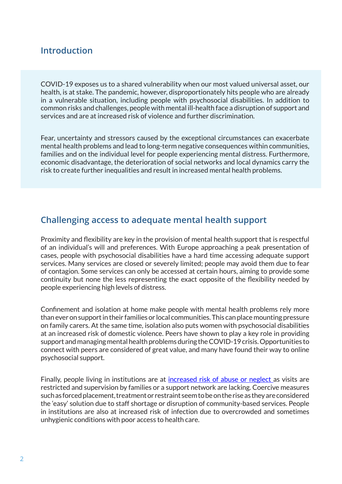### **Introduction**

COVID-19 exposes us to a shared vulnerability when our most valued universal asset, our health, is at stake. The pandemic, however, disproportionately hits people who are already in a vulnerable situation, including people with psychosocial disabilities. In addition to common risks and challenges, people with mental ill-health face a disruption of support and services and are at increased risk of violence and further discrimination.

Fear, uncertainty and stressors caused by the exceptional circumstances can exacerbate mental health problems and lead to long-term negative consequences within communities, families and on the individual level for people experiencing mental distress. Furthermore, economic disadvantage, the deterioration of social networks and local dynamics carry the risk to create further inequalities and result in increased mental health problems.

#### **Challenging access to adequate mental health support**

Proximity and flexibility are key in the provision of mental health support that is respectful of an individual's will and preferences. With Europe approaching a peak presentation of cases, people with psychosocial disabilities have a hard time accessing adequate support services. Many services are closed or severely limited; people may avoid them due to fear of contagion. Some services can only be accessed at certain hours, aiming to provide some continuity but none the less representing the exact opposite of the flexibility needed by people experiencing high levels of distress.

Confinement and isolation at home make people with mental health problems rely more than ever on support in their families or local communities. This can place mounting pressure on family carers. At the same time, isolation also puts women with psychosocial disabilities at an increased risk of domestic violence. Peers have shown to play a key role in providing support and managing mental health problems during the COVID-19 crisis. Opportunities to connect with peers are considered of great value, and many have found their way to online psychosocial support.

Finally, people living in institutions are at increased risk of abuse or neglect as visits are restricted and supervision by families or a support network are lacking. Coercive measures such as forced placement, treatment or restraint seem to be on the rise as they are considered the 'easy' solution due to staff shortage or disruption of community-based services. People in institutions are also at increased risk of infection due to overcrowded and sometimes unhygienic conditions with poor access to health care.